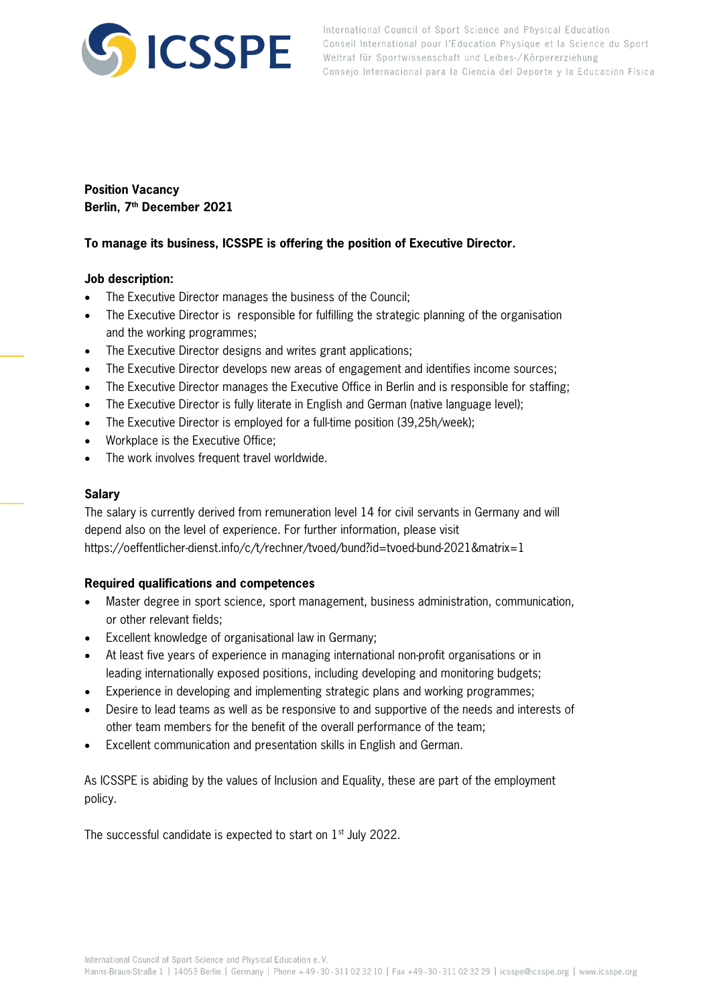

International Council of Sport Science and Physical Education Conseil International pour l'Education Physique et la Science du Sport Weltrat für Sportwissenschaft und Leibes-/Körpererziehung Consejo Internacional para la Ciencia del Deporte y la Educación Física

# **Position Vacancy Berlin, 7th December 2021**

# **To manage its business, ICSSPE is offering the position of Executive Director.**

# **Job description:**

- The Executive Director manages the business of the Council;
- The Executive Director is responsible for fulfilling the strategic planning of the organisation and the working programmes;
- The Executive Director designs and writes grant applications:
- The Executive Director develops new areas of engagement and identifies income sources;
- The Executive Director manages the Executive Office in Berlin and is responsible for staffing;
- The Executive Director is fully literate in English and German (native language level);
- The Executive Director is employed for a full-time position (39,25h/week);
- Workplace is the Executive Office;
- The work involves frequent travel worldwide.

### **Salary**

The salary is currently derived from remuneration level 14 for civil servants in Germany and will depend also on the level of experience. For further information, please visit https://oeffentlicher-dienst.info/c/t/rechner/tvoed/bund?id=tvoed-bund-2021&matrix=1

#### **Required qualifications and competences**

- Master degree in sport science, sport management, business administration, communication, or other relevant fields;
- Excellent knowledge of organisational law in Germany;
- At least five years of experience in managing international non-profit organisations or in leading internationally exposed positions, including developing and monitoring budgets;
- Experience in developing and implementing strategic plans and working programmes;
- Desire to lead teams as well as be responsive to and supportive of the needs and interests of other team members for the benefit of the overall performance of the team;
- Excellent communication and presentation skills in English and German.

As ICSSPE is abiding by the values of Inclusion and Equality, these are part of the employment policy.

The successful candidate is expected to start on 1<sup>st</sup> July 2022.